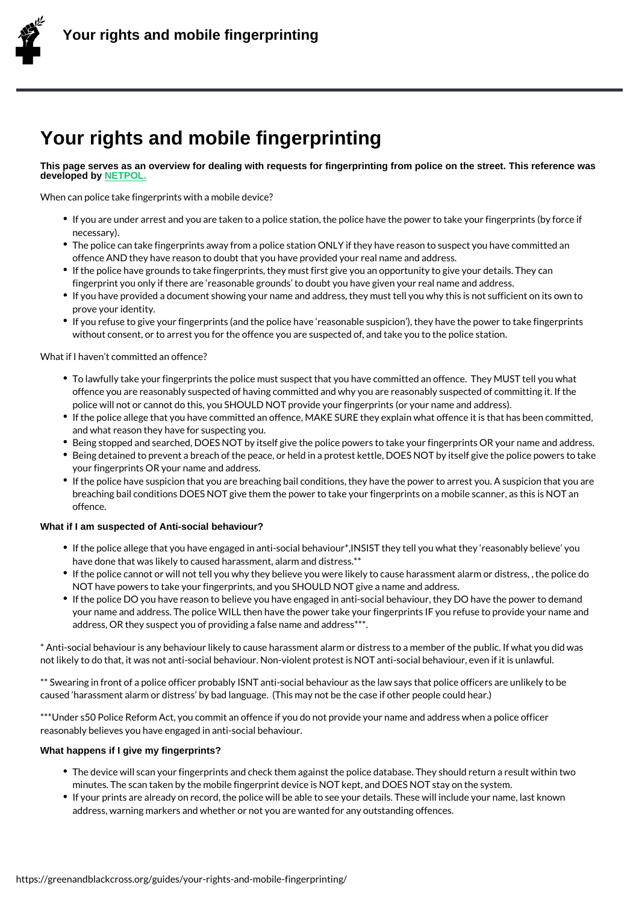## Your rights and mobile fingerprinting

This page serves as an overview for dealing with requests for fingerprinting from police on the street. This reference was developed by NETPOL.

When can police take fingerprints with a mobile device?

- If you are under arrest and you are taken to a police station, the police have the po nece[ssary\)](https://netpol.org/2013/01/28/your-rights-and-mobile-fingerprinting/).
- $\bullet$  The police can take fingerprints away from a police station ONLY if they have reason offence AND they have reason to doubt that you have provided your real name and a
- If the police have grounds to take fingerprints, they must first give you an opportuni fingerprint you only if there are reasonable grounds to doubt you have given your r
- If you have provided a document showing your name and address, they must tell you prove your identity.
- If you refuse to give your fingerprints (and the police have reasonable suspicion ), without consent, or to arrest you for the offence you are suspected of, and take you

What if I haven t committed an offence?

- To lawfully take your fingerprints the police must suspect that you have committed a offence you are reasonably suspected of having committed and why you are reasonal police will not or cannot do this, you SHOULD NOT provide your fingerprints (or you
- If the police allege that you have committed an offence, MAKE SURE they explain wh and what reason they have for suspecting you.
- Being stopped and searched, DOES NOT by itself give the police powers to take your
- Being detained to prevent a breach of the peace, or held in a protest kettle, DOES N your fingerprints OR your name and address.
- $\bullet$  If the police have suspicion that you are breaching bail conditions, they have the po breaching bail conditions DOES NOT give them the power to take your fingerprints o offence.

What if I am suspected of Anti-social behaviour?

- $\bullet$  If the police allege that you have engaged in anti-social behaviour\*,INSIST they tell have done that was likely to caused harassment, alarm and distress.\*\*
- If the police cannot or will not tell you why they believe you were likely to cause ha NOT have powers to take your fingerprints, and you SHOULD NOT give a name and a
- If the police DO you have reason to believe you have engaged in anti-social behavio your name and address. The police WILL then have the power take your fingerprints address, OR they suspect you of providing a false name and address\*\*\*.

\* Anti-social behaviour is any behaviour likely to cause harassment alarm or distress to a not likely to do that, it was not anti-social behaviour. Non-violent protest is NOT anti-so

\*\* Swearing in front of a police officer probably ISNT anti-social behaviour as the law sa caused harassment alarm or distress by bad language. (This may not be the case if oth

\*\*\*Under s50 Police Reform Act, you commit an offence if you do not provide your name a reasonably believes you have engaged in anti-social behaviour.

What happens if I give my fingerprints?

- $\bullet$  The device will scan your fingerprints and check them against the police database. T minutes. The scan taken by the mobile fingerprint device is NOT kept, and DOES NO
- If your prints are already on record, the police will be able to see your details. Thes address, warning markers and whether or not you are wanted for any outstanding off